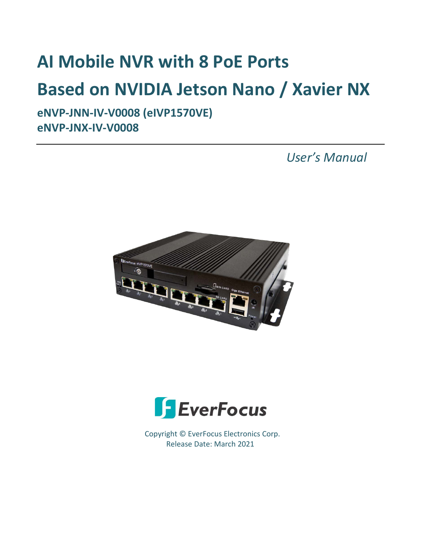# **AI Mobile NVR with 8 PoE Ports Based on NVIDIA Jetson Nano / Xavier NX**

**eNVP-JNN-IV-V0008 (eIVP1570VE) eNVP-JNX-IV-V0008** 

 *User's Manual*





Copyright © EverFocus Electronics Corp. Release Date: March 2021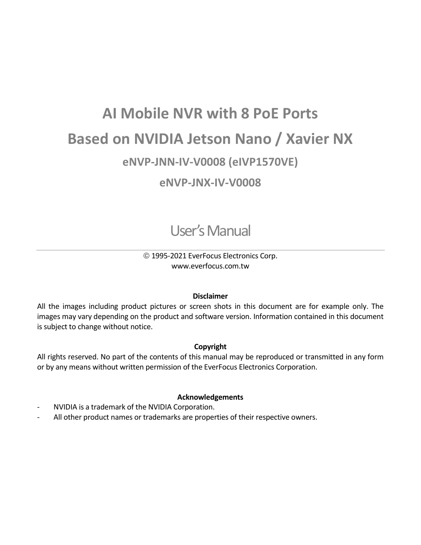## **AI Mobile NVR with 8 PoE Ports Based on NVIDIA Jetson Nano / Xavier NX eNVP-JNN-IV-V0008 (eIVP1570VE) eNVP-JNX-IV-V0008**

User's Manual

### 1995-2021 EverFocus Electronics Corp. www.everfocus.com.tw

### **Disclaimer**

All the images including product pictures or screen shots in this document are for example only. The images may vary depending on the product and software version. Information contained in this document is subject to change without notice.

### **Copyright**

All rights reserved. No part of the contents of this manual may be reproduced or transmitted in any form or by any means without written permission of the EverFocus Electronics Corporation.

### **Acknowledgements**

- NVIDIA is a trademark of the NVIDIA Corporation.
- All other product names or trademarks are properties of their respective owners.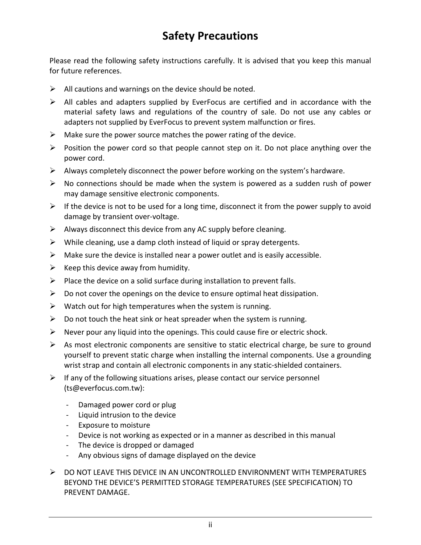### **Safety Precautions**

Please read the following safety instructions carefully. It is advised that you keep this manual for future references.

- $\triangleright$  All cautions and warnings on the device should be noted.
- $\triangleright$  All cables and adapters supplied by EverFocus are certified and in accordance with the material safety laws and regulations of the country of sale. Do not use any cables or adapters not supplied by EverFocus to prevent system malfunction or fires.
- $\triangleright$  Make sure the power source matches the power rating of the device.
- $\triangleright$  Position the power cord so that people cannot step on it. Do not place anything over the power cord.
- $\triangleright$  Always completely disconnect the power before working on the system's hardware.
- $\triangleright$  No connections should be made when the system is powered as a sudden rush of power may damage sensitive electronic components.
- $\triangleright$  If the device is not to be used for a long time, disconnect it from the power supply to avoid damage by transient over-voltage.
- $\triangleright$  Always disconnect this device from any AC supply before cleaning.
- $\triangleright$  While cleaning, use a damp cloth instead of liquid or spray detergents.
- $\triangleright$  Make sure the device is installed near a power outlet and is easily accessible.
- $\triangleright$  Keep this device away from humidity.
- $\triangleright$  Place the device on a solid surface during installation to prevent falls.
- $\triangleright$  Do not cover the openings on the device to ensure optimal heat dissipation.
- $\triangleright$  Watch out for high temperatures when the system is running.
- $\triangleright$  Do not touch the heat sink or heat spreader when the system is running.
- $\triangleright$  Never pour any liquid into the openings. This could cause fire or electric shock.
- $\triangleright$  As most electronic components are sensitive to static electrical charge, be sure to ground yourself to prevent static charge when installing the internal components. Use a grounding wrist strap and contain all electronic components in any static-shielded containers.
- $\triangleright$  If any of the following situations arises, please contact our service personnel (ts@everfocus.com.tw):
	- Damaged power cord or plug
	- Liquid intrusion to the device
	- Exposure to moisture
	- Device is not working as expected or in a manner as described in this manual
	- The device is dropped or damaged
	- Any obvious signs of damage displayed on the device
- ▶ DO NOT LEAVE THIS DEVICE IN AN UNCONTROLLED ENVIRONMENT WITH TEMPERATURES BEYOND THE DEVICE'S PERMITTED STORAGE TEMPERATURES (SEE SPECIFICATION) TO PREVENT DAMAGE.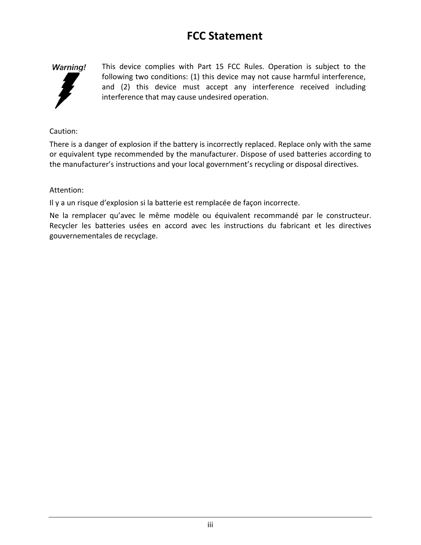### **FCC Statement**



This device complies with Part 15 FCC Rules. Operation is subject to the following two conditions: (1) this device may not cause harmful interference, and (2) this device must accept any interference received including interference that may cause undesired operation.

### Caution:

There is a danger of explosion if the battery is incorrectly replaced. Replace only with the same or equivalent type recommended by the manufacturer. Dispose of used batteries according to the manufacturer's instructions and your local government's recycling or disposal directives.

### Attention:

Il y a un risque d'explosion si la batterie est remplacée de façon incorrecte.

Ne la remplacer qu'avec le même modèle ou équivalent recommandé par le constructeur. Recycler les batteries usées en accord avec les instructions du fabricant et les directives gouvernementales de recyclage.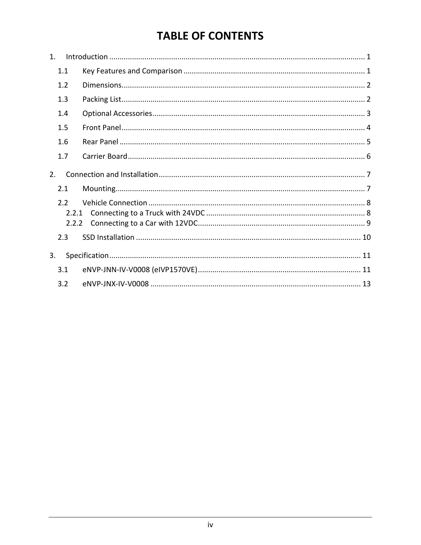### **TABLE OF CONTENTS**

| $1_{-}$          |  |
|------------------|--|
| 1.1              |  |
| 1.2              |  |
| 1.3              |  |
| 1.4              |  |
| 1.5              |  |
| 1.6              |  |
| 1.7              |  |
| 2.               |  |
| 2.1              |  |
| 2.2 <sub>2</sub> |  |
| 2.2.1            |  |
| 2.2.2            |  |
| 2.3              |  |
| 3.               |  |
| 3.1              |  |
| 3.2              |  |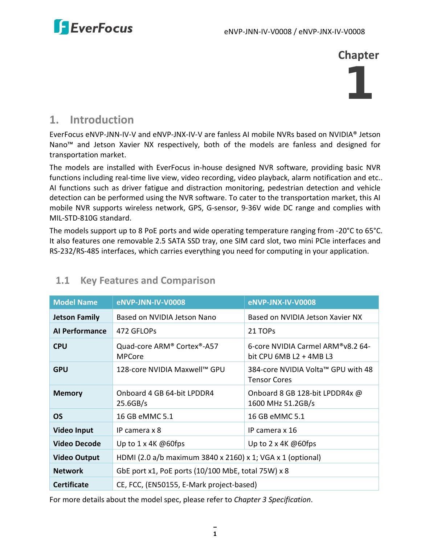

**Chapter**

# 1

### <span id="page-5-0"></span>**1. Introduction**

EverFocus eNVP-JNN-IV-V and eNVP-JNX-IV-V are fanless AI mobile NVRs based on NVIDIA® Jetson Nano™ and Jetson Xavier NX respectively, both of the models are fanless and designed for transportation market.

The models are installed with EverFocus in-house designed NVR software, providing basic NVR functions including real-time live view, video recording, video playback, alarm notification and etc.. AI functions such as driver fatigue and distraction monitoring, pedestrian detection and vehicle detection can be performed using the NVR software. To cater to the transportation market, this AI mobile NVR supports wireless network, GPS, G-sensor, 9-36V wide DC range and complies with MIL-STD-810G standard.

The models support up to 8 PoE ports and wide operating temperature ranging from -20°C to 65°C. It also features one removable 2.5 SATA SSD tray, one SIM card slot, two mini PCIe interfaces and RS-232/RS-485 interfaces, which carries everything you need for computing in your application.

| <b>Model Name</b>                                                    | <b>eNVP-JNN-IV-V0008</b>                                   | <b>eNVP-JNX-IV-V0008</b>                                     |  |
|----------------------------------------------------------------------|------------------------------------------------------------|--------------------------------------------------------------|--|
| <b>Jetson Family</b>                                                 | Based on NVIDIA Jetson Nano                                | Based on NVIDIA Jetson Xavier NX                             |  |
| <b>Al Performance</b>                                                | 472 GFLOPs                                                 | 21 TOPS                                                      |  |
| <b>CPU</b>                                                           | Quad-core ARM® Cortex®-A57<br><b>MPCore</b>                | 6-core NVIDIA Carmel ARM®v8.2 64-<br>bit CPU $6MBL2 + 4MBL3$ |  |
| <b>GPU</b>                                                           | 128-core NVIDIA Maxwell™ GPU                               | 384-core NVIDIA Volta™ GPU with 48<br><b>Tensor Cores</b>    |  |
| <b>Memory</b>                                                        | Onboard 4 GB 64-bit LPDDR4<br>25.6GB/s                     | Onboard 8 GB 128-bit LPDDR4x @<br>1600 MHz 51.2GB/s          |  |
| <b>OS</b>                                                            | 16 GB eMMC 5.1                                             | 16 GB eMMC 5.1                                               |  |
| <b>Video Input</b>                                                   | IP camera x 8                                              | IP camera x 16                                               |  |
| <b>Video Decode</b>                                                  | Up to $1 \times 4K$ @60fps                                 | Up to $2 \times 4K$ @60fps                                   |  |
| <b>Video Output</b>                                                  | HDMI (2.0 a/b maximum 3840 x 2160) x 1; VGA x 1 (optional) |                                                              |  |
| GbE port x1, PoE ports (10/100 MbE, total 75W) x 8<br><b>Network</b> |                                                            |                                                              |  |
| <b>Certificate</b>                                                   | CE, FCC, (EN50155, E-Mark project-based)                   |                                                              |  |

### <span id="page-5-1"></span>**1.1 Key Features and Comparison**

For more details about the model spec, please refer to *Chapter 3 Specification*.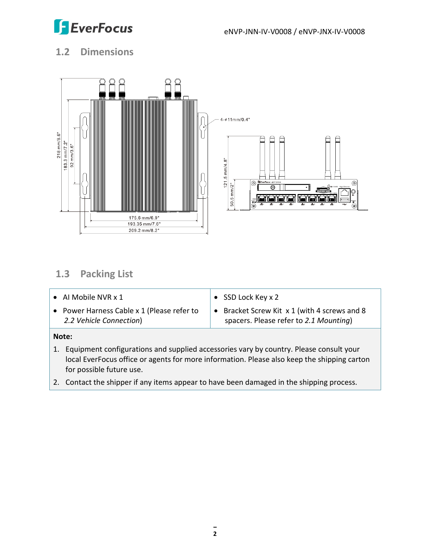

### <span id="page-6-0"></span>**1.2 Dimensions**



### <span id="page-6-1"></span>**1.3 Packing List**

| • Al Mobile NVR $x$ 1                                                 | SSD Lock Key x 2                                                                         |
|-----------------------------------------------------------------------|------------------------------------------------------------------------------------------|
| • Power Harness Cable x 1 (Please refer to<br>2.2 Vehicle Connection) | • Bracket Screw Kit $x 1$ (with 4 screws and 8<br>spacers. Please refer to 2.1 Mounting) |

### **Note:**

- 1. Equipment configurations and supplied accessories vary by country. Please consult your local EverFocus office or agents for more information. Please also keep the shipping carton for possible future use.
- 2. Contact the shipper if any items appear to have been damaged in the shipping process.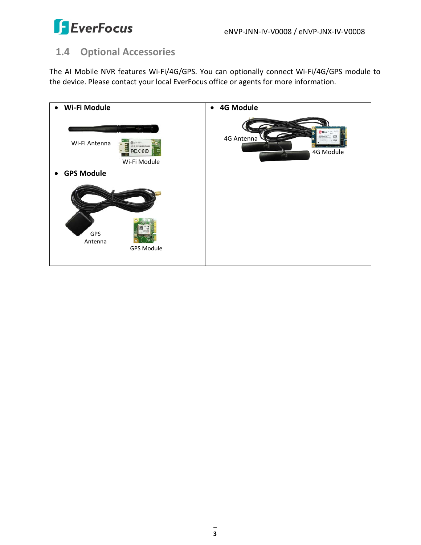

### <span id="page-7-0"></span>**1.4 Optional Accessories**

The AI Mobile NVR features Wi-Fi/4G/GPS. You can optionally connect Wi-Fi/4G/GPS module to the device. Please contact your local EverFocus office or agents for more information.

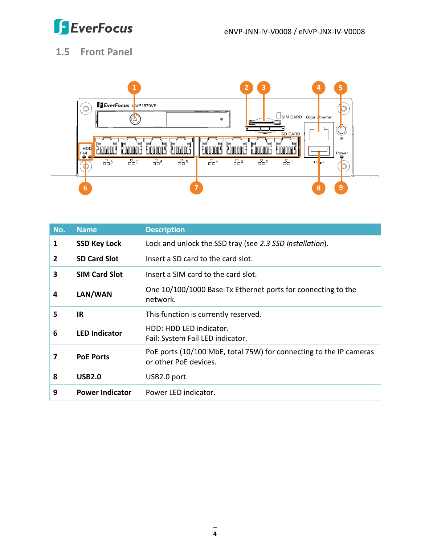

### <span id="page-8-0"></span>**1.5 Front Panel**



| No.            | <b>Name</b>            | <b>Description</b>                                                                          |
|----------------|------------------------|---------------------------------------------------------------------------------------------|
| 1              | <b>SSD Key Lock</b>    | Lock and unlock the SSD tray (see 2.3 SSD Installation).                                    |
| $\overline{2}$ | <b>SD Card Slot</b>    | Insert a SD card to the card slot.                                                          |
| 3              | <b>SIM Card Slot</b>   | Insert a SIM card to the card slot.                                                         |
| 4              | LAN/WAN                | One 10/100/1000 Base-Tx Ethernet ports for connecting to the<br>network.                    |
| 5              | <b>IR</b>              | This function is currently reserved.                                                        |
| 6              | <b>LED Indicator</b>   | HDD: HDD LED indicator.<br>Fail: System Fail LED indicator.                                 |
| 7              | <b>PoE Ports</b>       | PoE ports (10/100 MbE, total 75W) for connecting to the IP cameras<br>or other PoE devices. |
| 8              | <b>USB2.0</b>          | USB2.0 port.                                                                                |
| 9              | <b>Power Indicator</b> | Power LED indicator.                                                                        |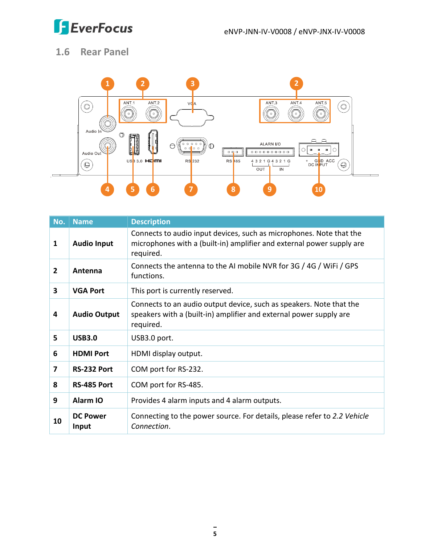

### <span id="page-9-0"></span>**1.6 Rear Panel**



| No.            | <b>Name</b>              | <b>Description</b>                                                                                                                                        |
|----------------|--------------------------|-----------------------------------------------------------------------------------------------------------------------------------------------------------|
| 1              | <b>Audio Input</b>       | Connects to audio input devices, such as microphones. Note that the<br>microphones with a (built-in) amplifier and external power supply are<br>required. |
| $\overline{2}$ | Antenna                  | Connects the antenna to the AI mobile NVR for 3G / 4G / WiFi / GPS<br>functions.                                                                          |
| 3              | <b>VGA Port</b>          | This port is currently reserved.                                                                                                                          |
| 4              | <b>Audio Output</b>      | Connects to an audio output device, such as speakers. Note that the<br>speakers with a (built-in) amplifier and external power supply are<br>required.    |
| 5              | <b>USB3.0</b>            | USB3.0 port.                                                                                                                                              |
| 6              | <b>HDMI Port</b>         | HDMI display output.                                                                                                                                      |
| 7              | RS-232 Port              | COM port for RS-232.                                                                                                                                      |
| 8              | RS-485 Port              | COM port for RS-485.                                                                                                                                      |
| 9              | Alarm IO                 | Provides 4 alarm inputs and 4 alarm outputs.                                                                                                              |
| 10             | <b>DC Power</b><br>Input | Connecting to the power source. For details, please refer to 2.2 Vehicle<br>Connection.                                                                   |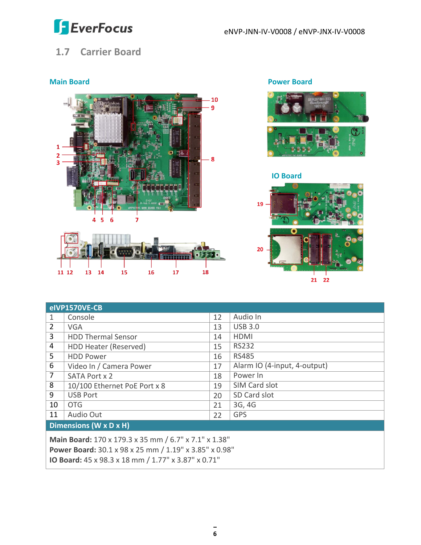

### <span id="page-10-0"></span>**1.7 Carrier Board**



11 12 13 14  ${\bf 16}$  ${\bf 17}$ 18  ${\bf 15}$ 

**Main Board Power Board**



### **IO Board**



| elVP1570VE-CB                                                 |                              |    |                              |  |
|---------------------------------------------------------------|------------------------------|----|------------------------------|--|
| 1                                                             | Console                      | 12 | Audio In                     |  |
| $\overline{2}$                                                | <b>VGA</b>                   | 13 | <b>USB 3.0</b>               |  |
| 3                                                             | <b>HDD Thermal Sensor</b>    | 14 | <b>HDMI</b>                  |  |
| 4                                                             | HDD Heater (Reserved)        | 15 | RS232                        |  |
| 5                                                             | <b>HDD Power</b>             | 16 | <b>RS485</b>                 |  |
| 6                                                             | Video In / Camera Power      | 17 | Alarm IO (4-input, 4-output) |  |
| 7                                                             | SATA Port x 2                | 18 | Power In                     |  |
| 8                                                             | 10/100 Ethernet PoE Port x 8 | 19 | SIM Card slot                |  |
| 9                                                             | <b>USB Port</b>              | 20 | SD Card slot                 |  |
| 10                                                            | <b>OTG</b>                   | 21 | 3G, 4G                       |  |
| 11                                                            | Audio Out                    | 22 | <b>GPS</b>                   |  |
| Dimensions (W x D x H)                                        |                              |    |                              |  |
| Main Board: 170 x 179.3 x 35 mm / 6.7" x 7.1" x 1.38"         |                              |    |                              |  |
| <b>Power Board:</b> 30.1 x 98 x 25 mm / 1.19" x 3.85" x 0.98" |                              |    |                              |  |
| IO Board: 45 x 98.3 x 18 mm / 1.77" x 3.87" x 0.71"           |                              |    |                              |  |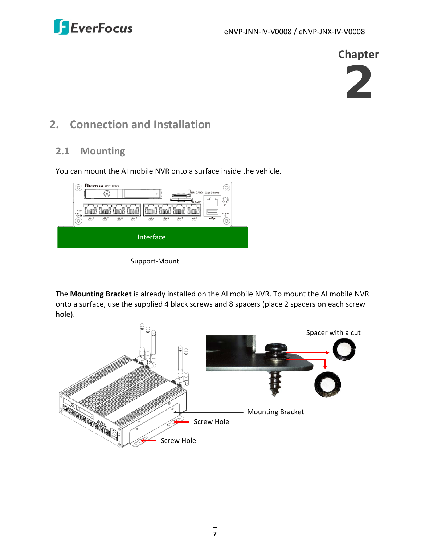

**Chapter**



### <span id="page-11-0"></span>**2. Connection and Installation**

### <span id="page-11-1"></span>**2.1 Mounting**

You can mount the AI mobile NVR onto a surface inside the vehicle.



Support-Mount

The **Mounting Bracket** is already installed on the AI mobile NVR. To mount the AI mobile NVR onto a surface, use the supplied 4 black screws and 8 spacers (place 2 spacers on each screw hole).

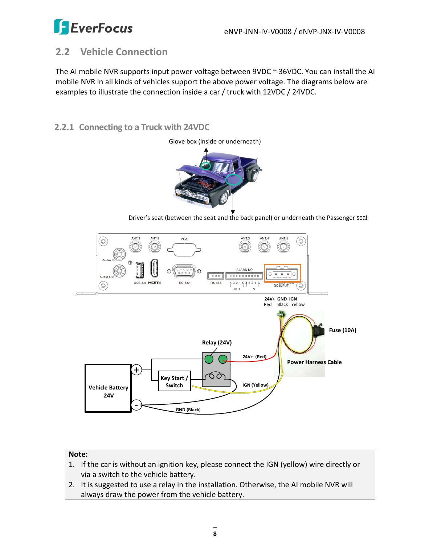

### <span id="page-12-0"></span>**2.2 Vehicle Connection**

The AI mobile NVR supports input power voltage between 9VDC ~ 36VDC. You can install the AI mobile NVR in all kinds of vehicles support the above power voltage. The diagrams below are examples to illustrate the connection inside a car / truck with 12VDC / 24VDC.

### <span id="page-12-1"></span>**2.2.1 Connecting to a Truck with 24VDC**



Glove box (inside or underneath)

Driver's seat (between the seat and the back panel) or underneath the Passenger seat



### **Note:**

- 1. If the car is without an ignition key, please connect the IGN (yellow) wire directly or via a switch to the vehicle battery.
- 2. It is suggested to use a relay in the installation. Otherwise, the AI mobile NVR will always draw the power from the vehicle battery.

**8**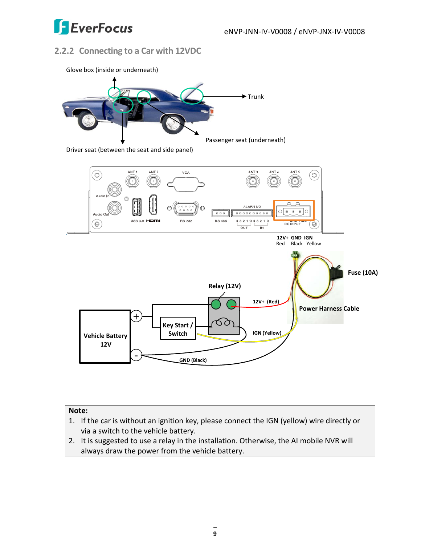

### <span id="page-13-0"></span>**2.2.2 Connecting to a Car with 12VDC**



### **Note:**

- 1. If the car is without an ignition key, please connect the IGN (yellow) wire directly or via a switch to the vehicle battery.
- 2. It is suggested to use a relay in the installation. Otherwise, the AI mobile NVR will always draw the power from the vehicle battery.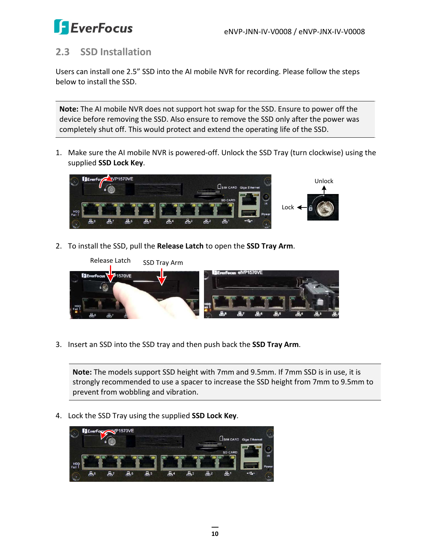

### <span id="page-14-0"></span>**2.3 SSD Installation**

Users can install one 2.5" SSD into the AI mobile NVR for recording. Please follow the steps below to install the SSD.

**Note:** The AI mobile NVR does not support hot swap for the SSD. Ensure to power off the device before removing the SSD. Also ensure to remove the SSD only after the power was completely shut off. This would protect and extend the operating life of the SSD.

1. Make sure the AI mobile NVR is powered-off. Unlock the SSD Tray (turn clockwise) using the supplied **SSD Lock Key**.



2. To install the SSD, pull the **Release Latch** to open the **SSD Tray Arm**.



3. Insert an SSD into the SSD tray and then push back the **SSD Tray Arm**.

**Note:** The models support SSD height with 7mm and 9.5mm. If 7mm SSD is in use, it is strongly recommended to use a spacer to increase the SSD height from 7mm to 9.5mm to prevent from wobbling and vibration.

4. Lock the SSD Tray using the supplied **SSD Lock Key**.

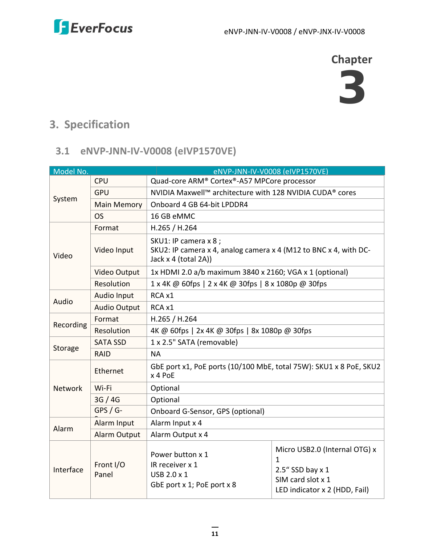**Chapter**



### <span id="page-15-0"></span>**3. Specification**

### <span id="page-15-1"></span>**3.1 eNVP-JNN-IV-V0008 (eIVP1570VE)**

| Model No.                              |                     | eNVP-JNN-IV-V0008 (eIVP1570VE)                                                                                    |                                                                                                              |  |  |
|----------------------------------------|---------------------|-------------------------------------------------------------------------------------------------------------------|--------------------------------------------------------------------------------------------------------------|--|--|
|                                        | <b>CPU</b>          | Quad-core ARM® Cortex®-A57 MPCore processor                                                                       |                                                                                                              |  |  |
| System                                 | <b>GPU</b>          | NVIDIA Maxwell™ architecture with 128 NVIDIA CUDA® cores                                                          |                                                                                                              |  |  |
|                                        | <b>Main Memory</b>  | Onboard 4 GB 64-bit LPDDR4                                                                                        |                                                                                                              |  |  |
|                                        | <b>OS</b>           | 16 GB eMMC                                                                                                        |                                                                                                              |  |  |
|                                        | Format              | H.265 / H.264                                                                                                     |                                                                                                              |  |  |
| Video                                  | Video Input         | SKU1: IP camera x 8 ;<br>SKU2: IP camera x 4, analog camera x 4 (M12 to BNC x 4, with DC-<br>Jack x 4 (total 2A)) |                                                                                                              |  |  |
|                                        | <b>Video Output</b> | 1x HDMI 2.0 a/b maximum 3840 x 2160; VGA x 1 (optional)                                                           |                                                                                                              |  |  |
|                                        | Resolution          | 1 x 4K @ 60fps   2 x 4K @ 30fps   8 x 1080p @ 30fps                                                               |                                                                                                              |  |  |
|                                        | Audio Input         | RCA x1                                                                                                            |                                                                                                              |  |  |
| Audio<br><b>Audio Output</b><br>RCA x1 |                     |                                                                                                                   |                                                                                                              |  |  |
|                                        | Format              | H.265 / H.264                                                                                                     |                                                                                                              |  |  |
| Recording                              | Resolution          | 4K @ 60fps   2x 4K @ 30fps   8x 1080p @ 30fps                                                                     |                                                                                                              |  |  |
|                                        | <b>SATA SSD</b>     | 1 x 2.5" SATA (removable)                                                                                         |                                                                                                              |  |  |
| Storage                                | <b>RAID</b>         | <b>NA</b>                                                                                                         |                                                                                                              |  |  |
|                                        | Ethernet            | GbE port x1, PoE ports (10/100 MbE, total 75W): SKU1 x 8 PoE, SKU2<br>x 4 PoE                                     |                                                                                                              |  |  |
| <b>Network</b>                         | Wi-Fi               | Optional                                                                                                          |                                                                                                              |  |  |
|                                        | 3G / 4G             | Optional                                                                                                          |                                                                                                              |  |  |
|                                        | $GPS / G$ -         | Onboard G-Sensor, GPS (optional)                                                                                  |                                                                                                              |  |  |
| Alarm                                  | Alarm Input         | Alarm Input x 4                                                                                                   |                                                                                                              |  |  |
|                                        | <b>Alarm Output</b> | Alarm Output x 4                                                                                                  |                                                                                                              |  |  |
| Interface                              | Front I/O<br>Panel  | Power button x 1<br>IR receiver x 1<br>USB 2.0 x 1<br>GbE port x 1; PoE port x 8                                  | Micro USB2.0 (Internal OTG) x<br>1<br>2.5" SSD bay x 1<br>SIM card slot x 1<br>LED indicator x 2 (HDD, Fail) |  |  |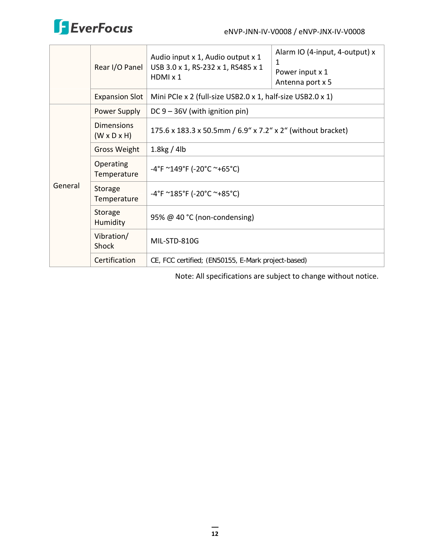

|              | Rear I/O Panel                               | Audio input x 1, Audio output x 1<br>USB 3.0 x 1, RS-232 x 1, RS485 x 1<br>HDMI x 1 | Alarm IO (4-input, 4-output) x<br>1<br>Power input x 1<br>Antenna port x 5 |  |
|--------------|----------------------------------------------|-------------------------------------------------------------------------------------|----------------------------------------------------------------------------|--|
|              | <b>Expansion Slot</b>                        | Mini PCIe x 2 (full-size USB2.0 x 1, half-size USB2.0 x 1)                          |                                                                            |  |
| Power Supply |                                              | DC $9 - 36V$ (with ignition pin)                                                    |                                                                            |  |
|              | <b>Dimensions</b><br>$(W \times D \times H)$ | 175.6 x 183.3 x 50.5mm / 6.9" x 7.2" x 2" (without bracket)                         |                                                                            |  |
|              | <b>Gross Weight</b>                          | $1.8$ kg / 4lb                                                                      |                                                                            |  |
| General      | Operating<br>Temperature                     | $-4^{\circ}$ F ~149°F (-20°C ~+65°C)                                                |                                                                            |  |
|              | Storage<br>Temperature                       | $-4^{\circ}$ F ~185°F (-20°C ~+85°C)                                                |                                                                            |  |
|              | Storage<br>Humidity                          | 95% @ 40 °C (non-condensing)                                                        |                                                                            |  |
|              | Vibration/<br><b>Shock</b>                   | MIL-STD-810G                                                                        |                                                                            |  |
|              | Certification                                | CE, FCC certified; (EN50155, E-Mark project-based)                                  |                                                                            |  |

Note: All specifications are subject to change without notice.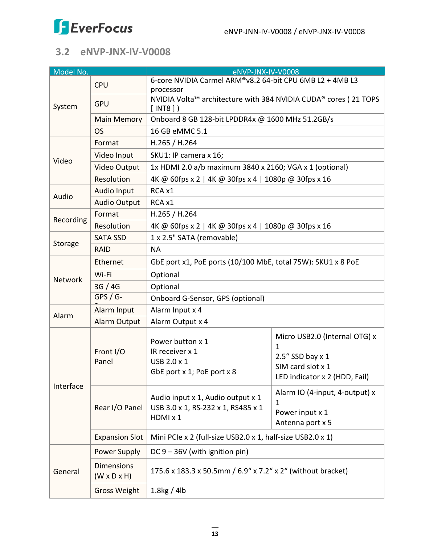

### <span id="page-17-0"></span>**3.2 eNVP-JNX-IV-V0008**

| Model No.      |                                              | eNVP-JNX-IV-V0008                                                                   |                                                                                                                 |  |  |
|----------------|----------------------------------------------|-------------------------------------------------------------------------------------|-----------------------------------------------------------------------------------------------------------------|--|--|
|                | <b>CPU</b>                                   | 6-core NVIDIA Carmel ARM®v8.2 64-bit CPU 6MB L2 + 4MB L3<br>processor               |                                                                                                                 |  |  |
| System         | GPU                                          | [INT8]                                                                              | NVIDIA Volta™ architecture with 384 NVIDIA CUDA® cores (21 TOPS                                                 |  |  |
|                | <b>Main Memory</b>                           | Onboard 8 GB 128-bit LPDDR4x @ 1600 MHz 51.2GB/s                                    |                                                                                                                 |  |  |
|                | <b>OS</b>                                    | 16 GB eMMC 5.1                                                                      |                                                                                                                 |  |  |
|                | Format                                       | H.265 / H.264                                                                       |                                                                                                                 |  |  |
| Video          | Video Input                                  | SKU1: IP camera x 16;                                                               |                                                                                                                 |  |  |
|                | Video Output                                 | 1x HDMI 2.0 a/b maximum 3840 x 2160; VGA x 1 (optional)                             |                                                                                                                 |  |  |
|                | Resolution                                   | 4K @ 60fps x 2   4K @ 30fps x 4   1080p @ 30fps x 16                                |                                                                                                                 |  |  |
| Audio          | Audio Input                                  | RCA x1                                                                              |                                                                                                                 |  |  |
|                | <b>Audio Output</b>                          | RCA x1                                                                              |                                                                                                                 |  |  |
| Recording      | Format                                       | H.265 / H.264                                                                       |                                                                                                                 |  |  |
|                | Resolution                                   | 4K @ 60fps x 2   4K @ 30fps x 4   1080p @ 30fps x 16                                |                                                                                                                 |  |  |
|                | <b>SATA SSD</b>                              | 1 x 2.5" SATA (removable)                                                           |                                                                                                                 |  |  |
| Storage        | <b>RAID</b>                                  | <b>NA</b>                                                                           |                                                                                                                 |  |  |
|                | Ethernet                                     | GbE port x1, PoE ports (10/100 MbE, total 75W): SKU1 x 8 PoE                        |                                                                                                                 |  |  |
| <b>Network</b> | Wi-Fi                                        | Optional                                                                            |                                                                                                                 |  |  |
|                | 3G/4G                                        | Optional                                                                            |                                                                                                                 |  |  |
|                | $GPS / G-$                                   | Onboard G-Sensor, GPS (optional)                                                    |                                                                                                                 |  |  |
| Alarm          | Alarm Input                                  | Alarm Input x 4                                                                     |                                                                                                                 |  |  |
|                | Alarm Output                                 | Alarm Output x 4                                                                    |                                                                                                                 |  |  |
|                | Front I/O<br>Panel                           | Power button x 1<br>IR receiver x 1<br>USB 2.0 x 1<br>GbE port x 1; PoE port x 8    | Micro USB2.0 (Internal OTG) x<br>1<br>$2.5''$ SSD bay x 1<br>SIM card slot x 1<br>LED indicator x 2 (HDD, Fail) |  |  |
| Interface      | Rear I/O Panel                               | Audio input x 1, Audio output x 1<br>USB 3.0 x 1, RS-232 x 1, RS485 x 1<br>HDMI x 1 | Alarm IO (4-input, 4-output) x<br>1<br>Power input x 1<br>Antenna port x 5                                      |  |  |
|                | <b>Expansion Slot</b>                        | Mini PCIe x 2 (full-size USB2.0 x 1, half-size USB2.0 x 1)                          |                                                                                                                 |  |  |
|                | Power Supply                                 | DC $9 - 36V$ (with ignition pin)                                                    |                                                                                                                 |  |  |
| General        | <b>Dimensions</b><br>$(W \times D \times H)$ | 175.6 x 183.3 x 50.5mm / 6.9" x 7.2" x 2" (without bracket)                         |                                                                                                                 |  |  |
|                | <b>Gross Weight</b>                          | $1.8$ kg / 4lb                                                                      |                                                                                                                 |  |  |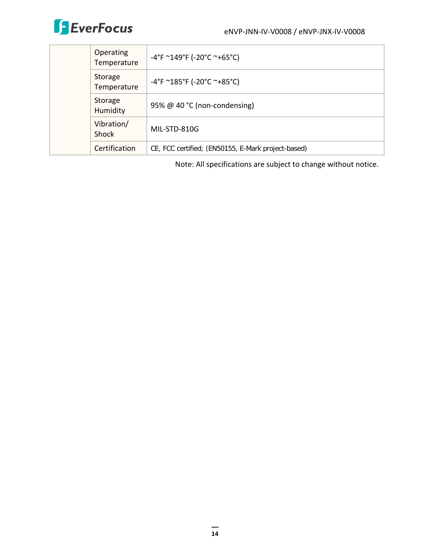

|  | <b>Operating</b><br>Temperature | $-4^{\circ}$ F ~149°F (-20°C ~+65°C)               |
|--|---------------------------------|----------------------------------------------------|
|  | Storage<br>Temperature          | $-4^{\circ}$ F ~185°F (-20°C ~+85°C)               |
|  | Storage<br>Humidity             | 95% @ 40 °C (non-condensing)                       |
|  | Vibration/<br>Shock             | MIL-STD-810G                                       |
|  | Certification                   | CE, FCC certified; (EN50155, E-Mark project-based) |

Note: All specifications are subject to change without notice.